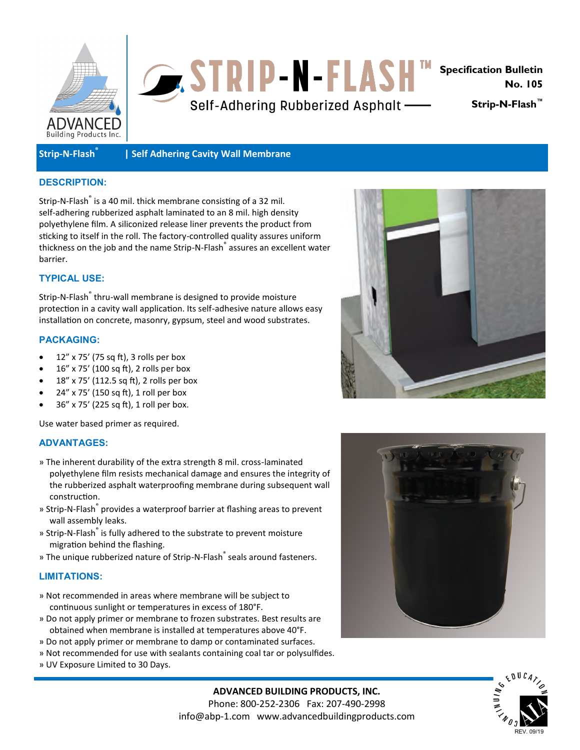



**No. 105** 

**Strip-N-Flash™**

# **Strip-N-Flash®**

# **| Self Adhering Cavity Wall Membrane**

# **DESCRIPTION:**

Strip-N-Flash<sup>®</sup> is a 40 mil. thick membrane consisting of a 32 mil. self-adhering rubberized asphalt laminated to an 8 mil. high density polyethylene film. A siliconized release liner prevents the product from sticking to itself in the roll. The factory-controlled quality assures uniform thickness on the job and the name Strip-N-Flash<sup>®</sup> assures an excellent water barrier.

# **TYPICAL USE:**

Strip-N-Flash<sup>®</sup> thru-wall membrane is designed to provide moisture protection in a cavity wall application. Its self-adhesive nature allows easy installation on concrete, masonry, gypsum, steel and wood substrates.

#### **PACKAGING:**

- 12" x 75' (75 sq ft), 3 rolls per box
- 16" x 75' (100 sq ft), 2 rolls per box
- 18" x 75' (112.5 sq ft), 2 rolls per box
- 24" x 75' (150 sq ft), 1 roll per box
- 36" x 75' (225 sq ft), 1 roll per box.

Use water based primer as required.

## **ADVANTAGES:**

- » The inherent durability of the extra strength 8 mil. cross-laminated polyethylene film resists mechanical damage and ensures the integrity of the rubberized asphalt waterproofing membrane during subsequent wall construction.
- » Strip-N-Flash® provides a waterproof barrier at flashing areas to prevent wall assembly leaks.
- » Strip-N-Flash® is fully adhered to the substrate to prevent moisture migration behind the flashing.
- » The unique rubberized nature of Strip-N-Flash<sup>®</sup> seals around fasteners.

## **LIMITATIONS:**

- » Not recommended in areas where membrane will be subject to continuous sunlight or temperatures in excess of 180°F.
- » Do not apply primer or membrane to frozen substrates. Best results are obtained when membrane is installed at temperatures above 40°F.
- » Do not apply primer or membrane to damp or contaminated surfaces.
- » Not recommended for use with sealants containing coal tar or polysulfides.
- » UV Exposure Limited to 30 Days.







**ADVANCED BUILDING PRODUCTS, INC.** Phone: 800-252-2306 Fax: 207-490-2998 info@abp-1.com www.advancedbuildingproducts.com